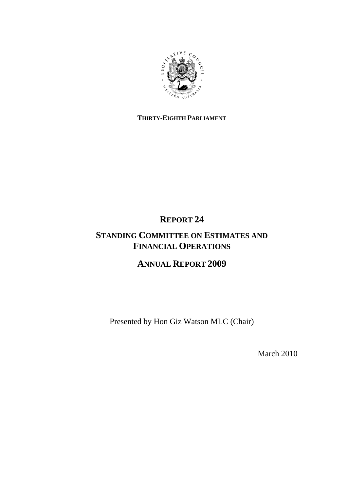

# **THIRTY-EIGHTH PARLIAMENT**

# **REPORT 24**

# **STANDING COMMITTEE ON ESTIMATES AND FINANCIAL OPERATIONS**

# **ANNUAL REPORT 2009**

Presented by Hon Giz Watson MLC (Chair)

March 2010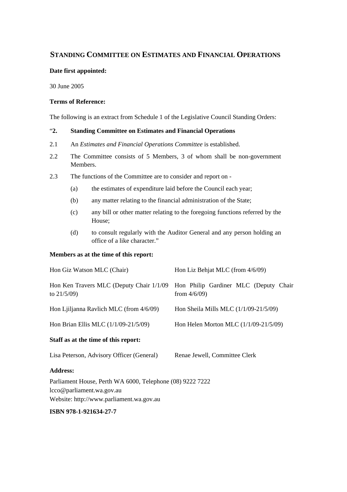# **STANDING COMMITTEE ON ESTIMATES AND FINANCIAL OPERATIONS**

## **Date first appointed:**

30 June 2005

## **Terms of Reference:**

The following is an extract from Schedule 1 of the Legislative Council Standing Orders:

## "**2. Standing Committee on Estimates and Financial Operations**

- 2.1 An *Estimates and Financial Operations Committee* is established.
- 2.2 The Committee consists of 5 Members, 3 of whom shall be non-government Members.
- 2.3 The functions of the Committee are to consider and report on
	- (a) the estimates of expenditure laid before the Council each year;
	- (b) any matter relating to the financial administration of the State;
	- (c) any bill or other matter relating to the foregoing functions referred by the House;
	- (d) to consult regularly with the Auditor General and any person holding an office of a like character."

## **Members as at the time of this report:**

| Hon Giz Watson MLC (Chair)                                 | Hon Liz Behjat MLC (from 4/6/09)                         |  |
|------------------------------------------------------------|----------------------------------------------------------|--|
| Hon Ken Travers MLC (Deputy Chair 1/1/09<br>to $21/5/09$ ) | Hon Philip Gardiner MLC (Deputy Chair<br>from $4/6/09$ ) |  |
| Hon Liiljanna Ravlich MLC (from 4/6/09)                    | Hon Sheila Mills MLC $(1/1/09-21/5/09)$                  |  |
| Hon Brian Ellis MLC $(1/1/09-21/5/09)$                     | Hon Helen Morton MLC (1/1/09-21/5/09)                    |  |
| Staff as at the time of this report:                       |                                                          |  |
| Lisa Peterson, Advisory Officer (General)                  | Renae Jewell, Committee Clerk                            |  |
| <b>Address:</b>                                            |                                                          |  |

Parliament House, Perth WA 6000, Telephone (08) 9222 7222 lcco@parliament.wa.gov.au Website: http://www.parliament.wa.gov.au

## **ISBN 978-1-921634-27-7**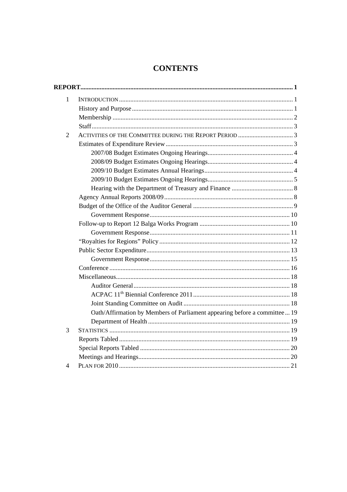# **CONTENTS**

| $\mathbf{1}$   |                                                                           |
|----------------|---------------------------------------------------------------------------|
|                |                                                                           |
|                |                                                                           |
|                |                                                                           |
| $\overline{2}$ | ACTIVITIES OF THE COMMITTEE DURING THE REPORT PERIOD 3                    |
|                |                                                                           |
|                |                                                                           |
|                |                                                                           |
|                |                                                                           |
|                |                                                                           |
|                |                                                                           |
|                |                                                                           |
|                |                                                                           |
|                |                                                                           |
|                |                                                                           |
|                |                                                                           |
|                |                                                                           |
|                |                                                                           |
|                |                                                                           |
|                |                                                                           |
|                |                                                                           |
|                |                                                                           |
|                |                                                                           |
|                |                                                                           |
|                | Oath/Affirmation by Members of Parliament appearing before a committee 19 |
|                |                                                                           |
| 3              |                                                                           |
|                |                                                                           |
|                |                                                                           |
|                |                                                                           |
| 4              |                                                                           |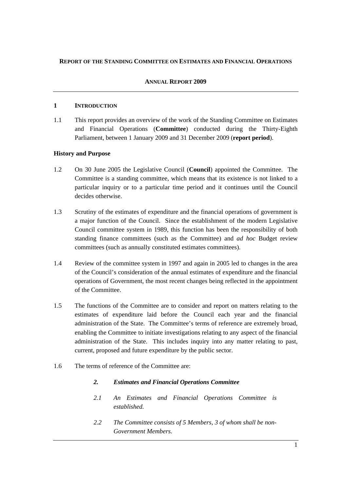## **REPORT OF THE STANDING COMMITTEE ON ESTIMATES AND FINANCIAL OPERATIONS**

## **ANNUAL REPORT 2009**

## **1 INTRODUCTION**

1.1 This report provides an overview of the work of the Standing Committee on Estimates and Financial Operations (**Committee**) conducted during the Thirty-Eighth Parliament, between 1 January 2009 and 31 December 2009 (**report period**).

## **History and Purpose**

- 1.2 On 30 June 2005 the Legislative Council (**Council**) appointed the Committee. The Committee is a standing committee, which means that its existence is not linked to a particular inquiry or to a particular time period and it continues until the Council decides otherwise.
- 1.3 Scrutiny of the estimates of expenditure and the financial operations of government is a major function of the Council. Since the establishment of the modern Legislative Council committee system in 1989, this function has been the responsibility of both standing finance committees (such as the Committee) and *ad hoc* Budget review committees (such as annually constituted estimates committees).
- 1.4 Review of the committee system in 1997 and again in 2005 led to changes in the area of the Council's consideration of the annual estimates of expenditure and the financial operations of Government, the most recent changes being reflected in the appointment of the Committee.
- 1.5 The functions of the Committee are to consider and report on matters relating to the estimates of expenditure laid before the Council each year and the financial administration of the State. The Committee's terms of reference are extremely broad, enabling the Committee to initiate investigations relating to any aspect of the financial administration of the State. This includes inquiry into any matter relating to past, current, proposed and future expenditure by the public sector.
- 1.6 The terms of reference of the Committee are:
	- *2. Estimates and Financial Operations Committee*
	- *2.1 An Estimates and Financial Operations Committee is established.*
	- *2.2 The Committee consists of 5 Members, 3 of whom shall be non-Government Members.*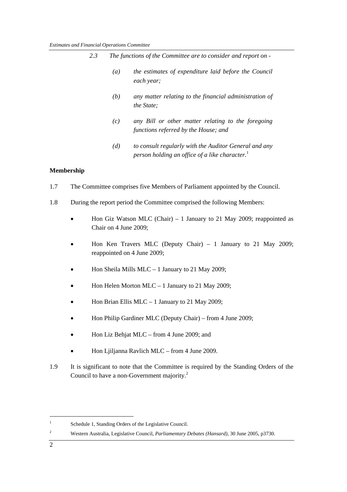|     | 2.3               |                  | The functions of the Committee are to consider and report on -                                         |
|-----|-------------------|------------------|--------------------------------------------------------------------------------------------------------|
|     |                   | $\left(a\right)$ | the estimates of expenditure laid before the Council<br>each year;                                     |
|     |                   | (b)              | any matter relating to the financial administration of<br>the State;                                   |
|     |                   | (c)              | any Bill or other matter relating to the foregoing<br>functions referred by the House; and             |
|     |                   | (d)              | to consult regularly with the Auditor General and any<br>person holding an office of a like character. |
|     | <b>Membership</b> |                  |                                                                                                        |
| 1.7 |                   |                  | The Committee comprises five Members of Parliament appointed by the Council.                           |
| 1.8 |                   |                  | During the report period the Committee comprised the following Members:                                |

- Hon Giz Watson MLC (Chair) 1 January to 21 May 2009; reappointed as Chair on 4 June 2009;
- Hon Ken Travers MLC (Deputy Chair) 1 January to 21 May 2009; reappointed on 4 June 2009;
- Hon Sheila Mills MLC 1 January to 21 May 2009;
- Hon Helen Morton MLC  $-1$  January to 21 May 2009;
- Hon Brian Ellis MLC 1 January to 21 May 2009;
- Hon Philip Gardiner MLC (Deputy Chair) from 4 June 2009;
- Hon Liz Behjat MLC from 4 June 2009; and
- Hon Ljiljanna Ravlich MLC from 4 June 2009.
- 1.9 It is significant to note that the Committee is required by the Standing Orders of the Council to have a non-Government majority.<sup>2</sup>

<sup>1</sup> Schedule 1, Standing Orders of the Legislative Council.

<sup>2</sup> Western Australia, Legislative Council, *Parliamentary Debates (Hansard),* 30 June 2005, p3730.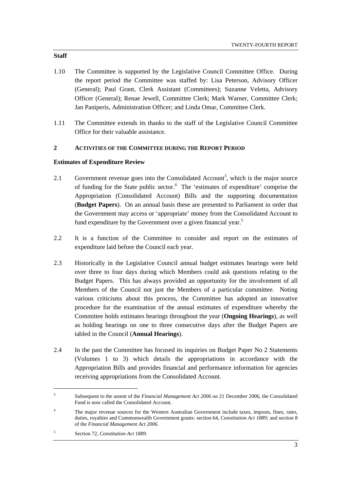- 1.10 The Committee is supported by the Legislative Council Committee Office. During the report period the Committee was staffed by: Lisa Peterson, Advisory Officer (General); Paul Grant, Clerk Assistant (Committees); Suzanne Veletta, Advisory Officer (General); Renae Jewell, Committee Clerk; Mark Warner, Committee Clerk; Jan Paniperis, Administration Officer; and Linda Omar, Committee Clerk.
- 1.11 The Committee extends its thanks to the staff of the Legislative Council Committee Office for their valuable assistance.

# **2 ACTIVITIES OF THE COMMITTEE DURING THE REPORT PERIOD**

## **Estimates of Expenditure Review**

- 2.1 Government revenue goes into the Consolidated Account<sup>3</sup>, which is the major source of funding for the State public sector.<sup>4</sup> The 'estimates of expenditure' comprise the Appropriation (Consolidated Account) Bills and the supporting documentation (**Budget Papers**). On an annual basis these are presented to Parliament in order that the Government may access or 'appropriate' money from the Consolidated Account to fund expenditure by the Government over a given financial year.<sup>5</sup>
- 2.2 It is a function of the Committee to consider and report on the estimates of expenditure laid before the Council each year.
- 2.3 Historically in the Legislative Council annual budget estimates hearings were held over three to four days during which Members could ask questions relating to the Budget Papers. This has always provided an opportunity for the involvement of all Members of the Council not just the Members of a particular committee. Noting various criticisms about this process, the Committee has adopted an innovative procedure for the examination of the annual estimates of expenditure whereby the Committee holds estimates hearings throughout the year (**Ongoing Hearings**), as well as holding hearings on one to three consecutive days after the Budget Papers are tabled in the Council (**Annual Hearings**).
- 2.4 In the past the Committee has focused its inquiries on Budget Paper No 2 Statements (Volumes 1 to 3) which details the appropriations in accordance with the Appropriation Bills and provides financial and performance information for agencies receiving appropriations from the Consolidated Account.

#### **Staff**

<sup>3</sup> Subsequent to the assent of the *Financial Management Act 2006* on 21 December 2006, the Consolidated Fund is now called the Consolidated Account.

<sup>4</sup> The major revenue sources for the Western Australian Government include taxes, imposts, fines, rates, duties, royalties and Commonwealth Government grants: section 64, *Constitution Act 1889;* and section 8 of the *Financial Management Act 2006*.

<sup>5</sup> Section 72, *Constitution Act 1889*.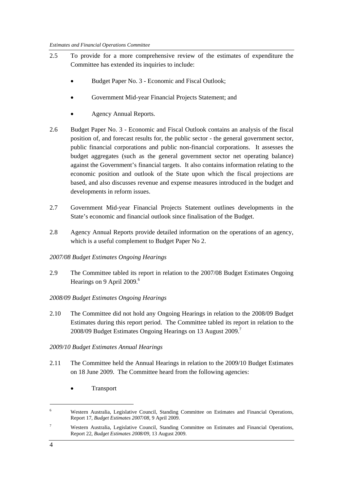- 2.5 To provide for a more comprehensive review of the estimates of expenditure the Committee has extended its inquiries to include:
	- Budget Paper No. 3 Economic and Fiscal Outlook;
	- Government Mid-year Financial Projects Statement; and
	- Agency Annual Reports.
- 2.6 Budget Paper No. 3 Economic and Fiscal Outlook contains an analysis of the fiscal position of, and forecast results for, the public sector - the general government sector, public financial corporations and public non-financial corporations. It assesses the budget aggregates (such as the general government sector net operating balance) against the Government's financial targets. It also contains information relating to the economic position and outlook of the State upon which the fiscal projections are based, and also discusses revenue and expense measures introduced in the budget and developments in reform issues.
- 2.7 Government Mid-year Financial Projects Statement outlines developments in the State's economic and financial outlook since finalisation of the Budget.
- 2.8 Agency Annual Reports provide detailed information on the operations of an agency, which is a useful complement to Budget Paper No 2.
- *2007/08 Budget Estimates Ongoing Hearings*
- 2.9 The Committee tabled its report in relation to the 2007/08 Budget Estimates Ongoing Hearings on 9 April 2009.<sup>6</sup>

## *2008/09 Budget Estimates Ongoing Hearings*

2.10 The Committee did not hold any Ongoing Hearings in relation to the 2008/09 Budget Estimates during this report period. The Committee tabled its report in relation to the 2008/09 Budget Estimates Ongoing Hearings on 13 August 2009.7

## *2009/10 Budget Estimates Annual Hearings*

- 2.11 The Committee held the Annual Hearings in relation to the 2009/10 Budget Estimates on 18 June 2009. The Committee heard from the following agencies:
	- **Transport**

7 Western Australia, Legislative Council, Standing Committee on Estimates and Financial Operations, Report 22, *Budget Estimates 2008/09,* 13 August 2009.

4

<sup>6</sup> Western Australia, Legislative Council, Standing Committee on Estimates and Financial Operations, Report 17, *Budget Estimates 2007/08,* 9 April 2009.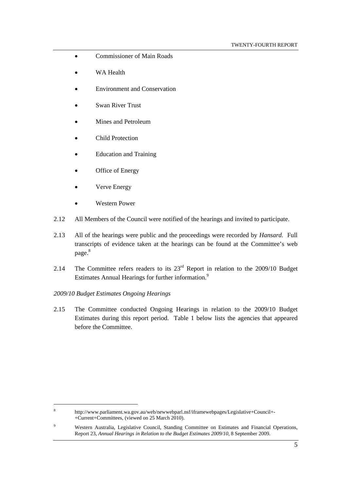- Commissioner of Main Roads
- WA Health
- Environment and Conservation
- Swan River Trust
- Mines and Petroleum
- Child Protection
- Education and Training
- Office of Energy
- Verve Energy
- Western Power
- 2.12 All Members of the Council were notified of the hearings and invited to participate.
- 2.13 All of the hearings were public and the proceedings were recorded by *Hansard*. Full transcripts of evidence taken at the hearings can be found at the Committee's web page.<sup>8</sup>
- 2.14 The Committee refers readers to its  $23<sup>rd</sup>$  Report in relation to the 2009/10 Budget Estimates Annual Hearings for further information.<sup>9</sup>
- *2009/10 Budget Estimates Ongoing Hearings*

2.15 The Committee conducted Ongoing Hearings in relation to the 2009/10 Budget Estimates during this report period. Table 1 below lists the agencies that appeared before the Committee.

9 Western Australia, Legislative Council, Standing Committee on Estimates and Financial Operations, Report 23, Annual Hearings in Relation to the Budget Estimates 2009/10, 8 September 2009.

<sup>8</sup> http://www.parliament.wa.gov.au/web/newwebparl.nsf/iframewebpages/Legislative+Council+- +Current+Committees, (viewed on 25 March 2010).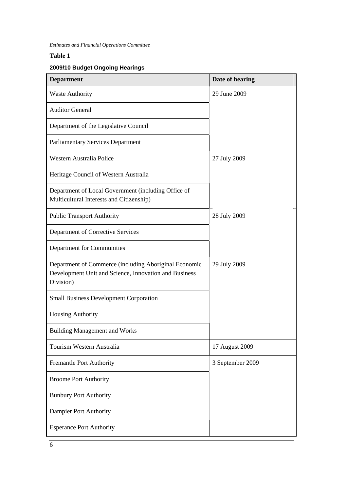# **Table 1**

# **2009/10 Budget Ongoing Hearings**

| <b>Department</b>                                                                                                           | Date of hearing  |
|-----------------------------------------------------------------------------------------------------------------------------|------------------|
| <b>Waste Authority</b>                                                                                                      | 29 June 2009     |
| <b>Auditor General</b>                                                                                                      |                  |
| Department of the Legislative Council                                                                                       |                  |
| <b>Parliamentary Services Department</b>                                                                                    |                  |
| Western Australia Police                                                                                                    | 27 July 2009     |
| Heritage Council of Western Australia                                                                                       |                  |
| Department of Local Government (including Office of<br>Multicultural Interests and Citizenship)                             |                  |
| <b>Public Transport Authority</b>                                                                                           | 28 July 2009     |
| Department of Corrective Services                                                                                           |                  |
| Department for Communities                                                                                                  |                  |
| Department of Commerce (including Aboriginal Economic<br>Development Unit and Science, Innovation and Business<br>Division) | 29 July 2009     |
| <b>Small Business Development Corporation</b>                                                                               |                  |
| Housing Authority                                                                                                           |                  |
| <b>Building Management and Works</b>                                                                                        |                  |
| Tourism Western Australia                                                                                                   | 17 August 2009   |
| <b>Fremantle Port Authority</b>                                                                                             | 3 September 2009 |
| <b>Broome Port Authority</b>                                                                                                |                  |
| <b>Bunbury Port Authority</b>                                                                                               |                  |
| Dampier Port Authority                                                                                                      |                  |
| <b>Esperance Port Authority</b>                                                                                             |                  |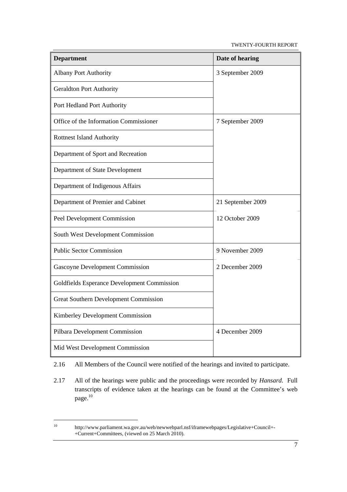TWENTY-FOURTH REPORT

| <b>Department</b>                            | Date of hearing   |
|----------------------------------------------|-------------------|
| <b>Albany Port Authority</b>                 | 3 September 2009  |
| <b>Geraldton Port Authority</b>              |                   |
| Port Hedland Port Authority                  |                   |
| Office of the Information Commissioner       | 7 September 2009  |
| <b>Rottnest Island Authority</b>             |                   |
| Department of Sport and Recreation           |                   |
| Department of State Development              |                   |
| Department of Indigenous Affairs             |                   |
| Department of Premier and Cabinet            | 21 September 2009 |
| <b>Peel Development Commission</b>           | 12 October 2009   |
| South West Development Commission            |                   |
| <b>Public Sector Commission</b>              | 9 November 2009   |
| Gascoyne Development Commission              | 2 December 2009   |
| Goldfields Esperance Development Commission  |                   |
| <b>Great Southern Development Commission</b> |                   |
| Kimberley Development Commission             |                   |
| Pilbara Development Commission               | 4 December 2009   |
| Mid West Development Commission              |                   |

2.16 All Members of the Council were notified of the hearings and invited to participate.

2.17 All of the hearings were public and the proceedings were recorded by *Hansard*. Full transcripts of evidence taken at the hearings can be found at the Committee's web page.<sup>10</sup>

<sup>10</sup> http://www.parliament.wa.gov.au/web/newwebparl.nsf/iframewebpages/Legislative+Council+- +Current+Committees, (viewed on 25 March 2010).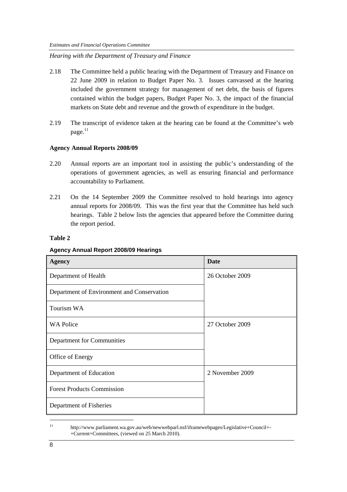*Hearing with the Department of Treasury and Finance* 

- 2.18 The Committee held a public hearing with the Department of Treasury and Finance on 22 June 2009 in relation to Budget Paper No. 3. Issues canvassed at the hearing included the government strategy for management of net debt, the basis of figures contained within the budget papers, Budget Paper No. 3, the impact of the financial markets on State debt and revenue and the growth of expenditure in the budget.
- 2.19 The transcript of evidence taken at the hearing can be found at the Committee's web page.<sup>11</sup>

## **Agency Annual Reports 2008/09**

- 2.20 Annual reports are an important tool in assisting the public's understanding of the operations of government agencies, as well as ensuring financial and performance accountability to Parliament.
- 2.21 On the 14 September 2009 the Committee resolved to hold hearings into agency annual reports for 2008/09. This was the first year that the Committee has held such hearings. Table 2 below lists the agencies that appeared before the Committee during the report period.

#### **Table 2**

#### **Agency Annual Report 2008/09 Hearings**

| Agency                                     | <b>Date</b>     |
|--------------------------------------------|-----------------|
| Department of Health                       | 26 October 2009 |
| Department of Environment and Conservation |                 |
| Tourism WA                                 |                 |
| <b>WA Police</b>                           | 27 October 2009 |
| Department for Communities                 |                 |
| Office of Energy                           |                 |
| Department of Education                    | 2 November 2009 |
| <b>Forest Products Commission</b>          |                 |
| Department of Fisheries                    |                 |

<sup>11</sup> http://www.parliament.wa.gov.au/web/newwebparl.nsf/iframewebpages/Legislative+Council+- +Current+Committees, (viewed on 25 March 2010).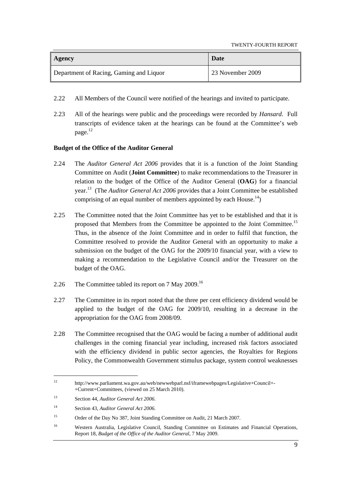TWENTY-FOURTH REPORT

| <b>Agency</b>                           | Date             |
|-----------------------------------------|------------------|
| Department of Racing, Gaming and Liquor | 23 November 2009 |

- 2.22 All Members of the Council were notified of the hearings and invited to participate.
- 2.23 All of the hearings were public and the proceedings were recorded by *Hansard*. Full transcripts of evidence taken at the hearings can be found at the Committee's web  $\text{page}^{12}$

## **Budget of the Office of the Auditor General**

- 2.24 The *Auditor General Act 2006* provides that it is a function of the Joint Standing Committee on Audit (**Joint Committee**) to make recommendations to the Treasurer in relation to the budget of the Office of the Auditor General (**OAG**) for a financial year.13 (The *Auditor General Act 2006* provides that a Joint Committee be established comprising of an equal number of members appointed by each House.<sup>14</sup>)
- 2.25 The Committee noted that the Joint Committee has yet to be established and that it is proposed that Members from the Committee be appointed to the Joint Committee.<sup>15</sup> Thus, in the absence of the Joint Committee and in order to fulfil that function, the Committee resolved to provide the Auditor General with an opportunity to make a submission on the budget of the OAG for the 2009/10 financial year, with a view to making a recommendation to the Legislative Council and/or the Treasurer on the budget of the OAG.
- 2.26 The Committee tabled its report on 7 May 2009.<sup>16</sup>
- 2.27 The Committee in its report noted that the three per cent efficiency dividend would be applied to the budget of the OAG for 2009/10, resulting in a decrease in the appropriation for the OAG from 2008/09.
- 2.28 The Committee recognised that the OAG would be facing a number of additional audit challenges in the coming financial year including, increased risk factors associated with the efficiency dividend in public sector agencies, the Royalties for Regions Policy, the Commonwealth Government stimulus package, system control weaknesses

<sup>12</sup> http://www.parliament.wa.gov.au/web/newwebparl.nsf/iframewebpages/Legislative+Council+- +Current+Committees, (viewed on 25 March 2010).

<sup>13</sup> Section 44, *Auditor General Act 2006*.

<sup>14</sup> Section 43, *Auditor General Act 2006*.

<sup>&</sup>lt;sup>15</sup> Order of the Day No 387, Joint Standing Committee on Audit, 21 March 2007.

<sup>16</sup> Western Australia, Legislative Council, Standing Committee on Estimates and Financial Operations, Report 18, *Budget of the Office of the Auditor General,* 7 May 2009.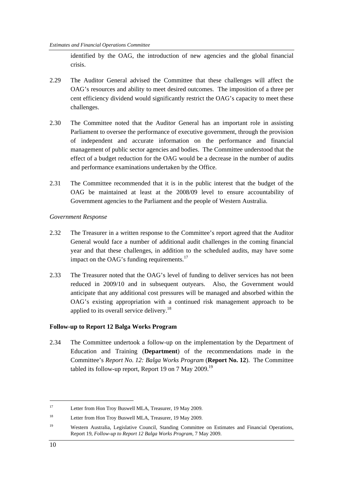identified by the OAG, the introduction of new agencies and the global financial crisis.

- 2.29 The Auditor General advised the Committee that these challenges will affect the OAG's resources and ability to meet desired outcomes. The imposition of a three per cent efficiency dividend would significantly restrict the OAG's capacity to meet these challenges.
- 2.30 The Committee noted that the Auditor General has an important role in assisting Parliament to oversee the performance of executive government, through the provision of independent and accurate information on the performance and financial management of public sector agencies and bodies. The Committee understood that the effect of a budget reduction for the OAG would be a decrease in the number of audits and performance examinations undertaken by the Office.
- 2.31 The Committee recommended that it is in the public interest that the budget of the OAG be maintained at least at the 2008/09 level to ensure accountability of Government agencies to the Parliament and the people of Western Australia.

## *Government Response*

- 2.32 The Treasurer in a written response to the Committee's report agreed that the Auditor General would face a number of additional audit challenges in the coming financial year and that these challenges, in addition to the scheduled audits, may have some impact on the OAG's funding requirements.<sup>17</sup>
- 2.33 The Treasurer noted that the OAG's level of funding to deliver services has not been reduced in 2009/10 and in subsequent outyears. Also, the Government would anticipate that any additional cost pressures will be managed and absorbed within the OAG's existing appropriation with a continued risk management approach to be applied to its overall service delivery.<sup>18</sup>

## **Follow-up to Report 12 Balga Works Program**

2.34 The Committee undertook a follow-up on the implementation by the Department of Education and Training (**Department**) of the recommendations made in the Committee's *Report No. 12: Balga Works Program* (**Report No. 12**). The Committee tabled its follow-up report, Report 19 on 7 May 2009.<sup>19</sup>

<sup>17</sup> Letter from Hon Troy Buswell MLA, Treasurer, 19 May 2009.

<sup>&</sup>lt;sup>18</sup> Letter from Hon Troy Buswell MLA, Treasurer, 19 May 2009.

<sup>&</sup>lt;sup>19</sup> Western Australia, Legislative Council, Standing Committee on Estimates and Financial Operations, Report 19, *Follow-up to Report 12 Balga Works Program,* 7 May 2009.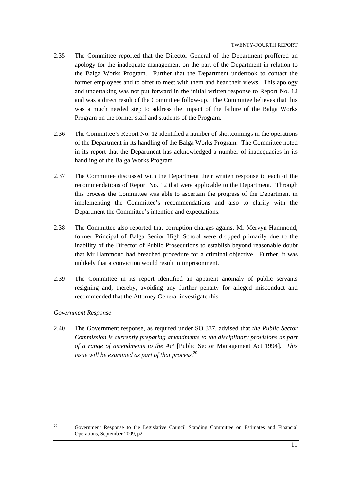- 2.35 The Committee reported that the Director General of the Department proffered an apology for the inadequate management on the part of the Department in relation to the Balga Works Program. Further that the Department undertook to contact the former employees and to offer to meet with them and hear their views. This apology and undertaking was not put forward in the initial written response to Report No. 12 and was a direct result of the Committee follow-up. The Committee believes that this was a much needed step to address the impact of the failure of the Balga Works Program on the former staff and students of the Program.
- 2.36 The Committee's Report No. 12 identified a number of shortcomings in the operations of the Department in its handling of the Balga Works Program. The Committee noted in its report that the Department has acknowledged a number of inadequacies in its handling of the Balga Works Program.
- 2.37 The Committee discussed with the Department their written response to each of the recommendations of Report No. 12 that were applicable to the Department. Through this process the Committee was able to ascertain the progress of the Department in implementing the Committee's recommendations and also to clarify with the Department the Committee's intention and expectations.
- 2.38 The Committee also reported that corruption charges against Mr Mervyn Hammond, former Principal of Balga Senior High School were dropped primarily due to the inability of the Director of Public Prosecutions to establish beyond reasonable doubt that Mr Hammond had breached procedure for a criminal objective. Further, it was unlikely that a conviction would result in imprisonment.
- 2.39 The Committee in its report identified an apparent anomaly of public servants resigning and, thereby, avoiding any further penalty for alleged misconduct and recommended that the Attorney General investigate this.

## *Government Response*

 $\overline{a}$ 

2.40 The Government response, as required under SO 337, advised that *the Public Sector Commission is currently preparing amendments to the disciplinary provisions as part of a range of amendments to the Act* [Public Sector Management Act 1994]*. This issue will be examined as part of that process.*<sup>20</sup>

<sup>&</sup>lt;sup>20</sup> Government Response to the Legislative Council Standing Committee on Estimates and Financial Operations, September 2009, p2.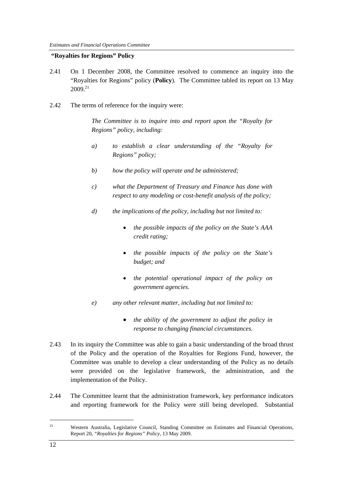## **"Royalties for Regions" Policy**

- 2.41 On 1 December 2008, the Committee resolved to commence an inquiry into the "Royalties for Regions" policy (**Policy**). The Committee tabled its report on 13 May  $2009^{21}$
- 2.42 The terms of reference for the inquiry were:

*The Committee is to inquire into and report upon the "Royalty for Regions" policy, including:* 

- *a) to establish a clear understanding of the "Royalty for Regions" policy;*
- *b) how the policy will operate and be administered;*
- *c) what the Department of Treasury and Finance has done with respect to any modeling or cost-benefit analysis of the policy;*
- *d) the implications of the policy, including but not limited to:* 
	- *the possible impacts of the policy on the State's AAA credit rating;*
	- *the possible impacts of the policy on the State's budget; and*
	- *the potential operational impact of the policy on government agencies.*
- *e) any other relevant matter, including but not limited to:* 
	- *the ability of the government to adjust the policy in response to changing financial circumstances.*
- 2.43 In its inquiry the Committee was able to gain a basic understanding of the broad thrust of the Policy and the operation of the Royalties for Regions Fund, however, the Committee was unable to develop a clear understanding of the Policy as no details were provided on the legislative framework, the administration, and the implementation of the Policy.
- 2.44 The Committee learnt that the administration framework, key performance indicators and reporting framework for the Policy were still being developed. Substantial

<sup>&</sup>lt;sup>21</sup> Western Australia, Legislative Council, Standing Committee on Estimates and Financial Operations, Report 20, *"Royalties for Regions" Policy,* 13 May 2009.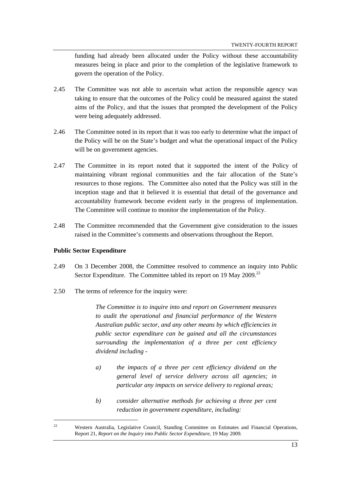funding had already been allocated under the Policy without these accountability measures being in place and prior to the completion of the legislative framework to govern the operation of the Policy.

- 2.45 The Committee was not able to ascertain what action the responsible agency was taking to ensure that the outcomes of the Policy could be measured against the stated aims of the Policy, and that the issues that prompted the development of the Policy were being adequately addressed.
- 2.46 The Committee noted in its report that it was too early to determine what the impact of the Policy will be on the State's budget and what the operational impact of the Policy will be on government agencies.
- 2.47 The Committee in its report noted that it supported the intent of the Policy of maintaining vibrant regional communities and the fair allocation of the State's resources to those regions. The Committee also noted that the Policy was still in the inception stage and that it believed it is essential that detail of the governance and accountability framework become evident early in the progress of implementation. The Committee will continue to monitor the implementation of the Policy.
- 2.48 The Committee recommended that the Government give consideration to the issues raised in the Committee's comments and observations throughout the Report.

#### **Public Sector Expenditure**

 $\overline{a}$ 

- 2.49 On 3 December 2008, the Committee resolved to commence an inquiry into Public Sector Expenditure. The Committee tabled its report on 19 May 2009.<sup>22</sup>
- 2.50 The terms of reference for the inquiry were:

*The Committee is to inquire into and report on Government measures to audit the operational and financial performance of the Western Australian public sector, and any other means by which efficiencies in public sector expenditure can be gained and all the circumstances surrounding the implementation of a three per cent efficiency dividend including -* 

- *a) the impacts of a three per cent efficiency dividend on the general level of service delivery across all agencies; in particular any impacts on service delivery to regional areas;*
- *b) consider alternative methods for achieving a three per cent reduction in government expenditure, including:*

<sup>&</sup>lt;sup>22</sup> Western Australia, Legislative Council, Standing Committee on Estimates and Financial Operations, Report 21, *Report on the Inquiry into Public Sector Expenditure,* 19 May 2009.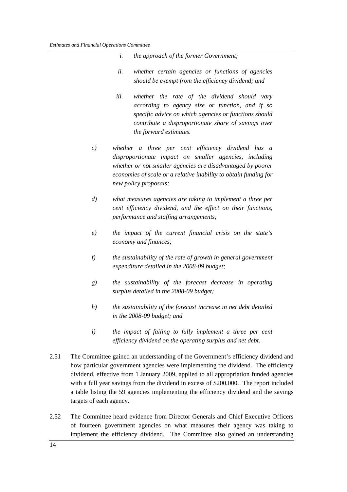- *i. the approach of the former Government;*
- *ii. whether certain agencies or functions of agencies should be exempt from the efficiency dividend; and*
- *iii. whether the rate of the dividend should vary according to agency size or function, and if so specific advice on which agencies or functions should contribute a disproportionate share of savings over the forward estimates.*
- *c) whether a three per cent efficiency dividend has a disproportionate impact on smaller agencies, including whether or not smaller agencies are disadvantaged by poorer economies of scale or a relative inability to obtain funding for new policy proposals;*
- *d) what measures agencies are taking to implement a three per cent efficiency dividend, and the effect on their functions, performance and staffing arrangements;*
- *e) the impact of the current financial crisis on the state's economy and finances;*
- *f) the sustainability of the rate of growth in general government expenditure detailed in the 2008-09 budget;*
- *g) the sustainability of the forecast decrease in operating surplus detailed in the 2008-09 budget;*
- *h) the sustainability of the forecast increase in net debt detailed in the 2008-09 budget; and*
- *i) the impact of failing to fully implement a three per cent efficiency dividend on the operating surplus and net debt.*
- 2.51 The Committee gained an understanding of the Government's efficiency dividend and how particular government agencies were implementing the dividend. The efficiency dividend, effective from 1 January 2009, applied to all appropriation funded agencies with a full year savings from the dividend in excess of \$200,000. The report included a table listing the 59 agencies implementing the efficiency dividend and the savings targets of each agency.
- 2.52 The Committee heard evidence from Director Generals and Chief Executive Officers of fourteen government agencies on what measures their agency was taking to implement the efficiency dividend. The Committee also gained an understanding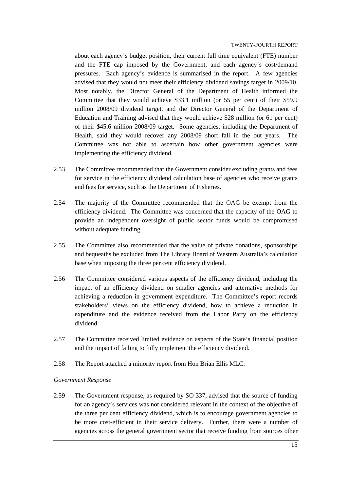about each agency's budget position, their current full time equivalent (FTE) number and the FTE cap imposed by the Government, and each agency's cost/demand pressures. Each agency's evidence is summarised in the report. A few agencies advised that they would not meet their efficiency dividend savings target in 2009/10. Most notably, the Director General of the Department of Health informed the Committee that they would achieve \$33.1 million (or 55 per cent) of their \$59.9 million 2008/09 dividend target, and the Director General of the Department of Education and Training advised that they would achieve \$28 million (or 61 per cent) of their \$45.6 million 2008/09 target. Some agencies, including the Department of Health, said they would recover any 2008/09 short fall in the out years. The Committee was not able to ascertain how other government agencies were implementing the efficiency dividend.

- 2.53 The Committee recommended that the Government consider excluding grants and fees for service in the efficiency dividend calculation base of agencies who receive grants and fees for service, such as the Department of Fisheries.
- 2.54 The majority of the Committee recommended that the OAG be exempt from the efficiency dividend. The Committee was concerned that the capacity of the OAG to provide an independent oversight of public sector funds would be compromised without adequate funding.
- 2.55 The Committee also recommended that the value of private donations, sponsorships and bequeaths be excluded from The Library Board of Western Australia's calculation base when imposing the three per cent efficiency dividend.
- 2.56 The Committee considered various aspects of the efficiency dividend, including the impact of an efficiency dividend on smaller agencies and alternative methods for achieving a reduction in government expenditure. The Committee's report records stakeholders' views on the efficiency dividend, how to achieve a reduction in expenditure and the evidence received from the Labor Party on the efficiency dividend.
- 2.57 The Committee received limited evidence on aspects of the State's financial position and the impact of failing to fully implement the efficiency dividend.
- 2.58 The Report attached a minority report from Hon Brian Ellis MLC.

#### *Government Response*

2.59 The Government response, as required by SO 337, advised that the source of funding for an agency's services was not considered relevant in the context of the objective of the three per cent efficiency dividend, which is to encourage government agencies to be more cost-efficient in their service delivery. Further, there were a number of agencies across the general government sector that receive funding from sources other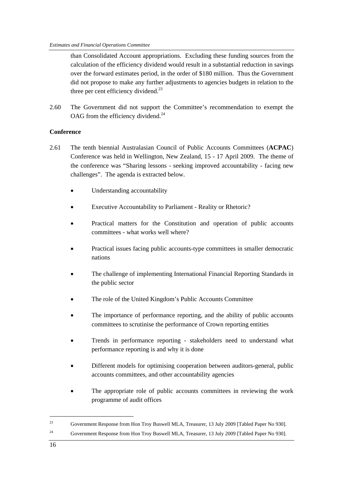than Consolidated Account appropriations. Excluding these funding sources from the calculation of the efficiency dividend would result in a substantial reduction in savings over the forward estimates period, in the order of \$180 million. Thus the Government did not propose to make any further adjustments to agencies budgets in relation to the three per cent efficiency dividend.<sup>23</sup>

2.60 The Government did not support the Committee's recommendation to exempt the OAG from the efficiency dividend.<sup>24</sup>

## **Conference**

- 2.61 The tenth biennial Australasian Council of Public Accounts Committees (**ACPAC**) Conference was held in Wellington, New Zealand, 15 - 17 April 2009. The theme of the conference was "Sharing lessons - seeking improved accountability - facing new challenges". The agenda is extracted below.
	- Understanding accountability
	- Executive Accountability to Parliament Reality or Rhetoric?
	- Practical matters for the Constitution and operation of public accounts committees - what works well where?
	- Practical issues facing public accounts-type committees in smaller democratic nations
	- The challenge of implementing International Financial Reporting Standards in the public sector
	- The role of the United Kingdom's Public Accounts Committee
	- The importance of performance reporting, and the ability of public accounts committees to scrutinise the performance of Crown reporting entities
	- Trends in performance reporting stakeholders need to understand what performance reporting is and why it is done
	- Different models for optimising cooperation between auditors-general, public accounts committees, and other accountability agencies
	- The appropriate role of public accounts committees in reviewing the work programme of audit offices

<sup>23</sup> Government Response from Hon Troy Buswell MLA, Treasurer, 13 July 2009 [Tabled Paper No 930]. 24 Government Response from Hon Troy Buswell MLA, Treasurer, 13 July 2009 [Tabled Paper No 930].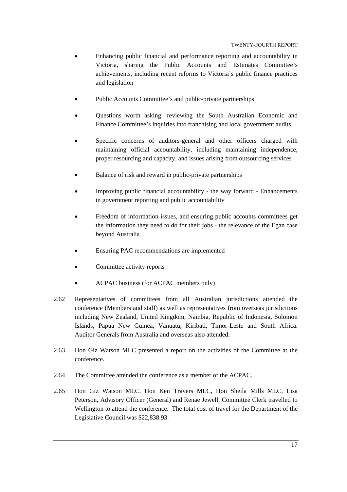- Enhancing public financial and performance reporting and accountability in Victoria, sharing the Public Accounts and Estimates Committee's achievements, including recent reforms to Victoria's public finance practices and legislation
- Public Accounts Committee's and public-private partnerships
- Questions worth asking: reviewing the South Australian Economic and Finance Committee's inquiries into franchising and local government audits
- Specific concerns of auditors-general and other officers charged with maintaining official accountability, including maintaining independence, proper resourcing and capacity, and issues arising from outsourcing services
- Balance of risk and reward in public-private partnerships
- Improving public financial accountability the way forward Enhancements in government reporting and public accountability
- Freedom of information issues, and ensuring public accounts committees get the information they need to do for their jobs - the relevance of the Egan case beyond Australia
- Ensuring PAC recommendations are implemented
- Committee activity reports
- ACPAC business (for ACPAC members only)
- 2.62 Representatives of committees from all Australian jurisdictions attended the conference (Members and staff) as well as representatives from overseas jurisdictions including New Zealand, United Kingdom, Nambia, Republic of Indonesia, Solomon Islands, Papua New Guinea, Vanuatu, Kiribati, Timor-Leste and South Africa. Auditor Generals from Australia and overseas also attended.
- 2.63 Hon Giz Watson MLC presented a report on the activities of the Committee at the conference.
- 2.64 The Committee attended the conference as a member of the ACPAC.
- 2.65 Hon Giz Watson MLC, Hon Ken Travers MLC, Hon Sheila Mills MLC, Lisa Peterson, Advisory Officer (General) and Renae Jewell, Committee Clerk travelled to Wellington to attend the conference. The total cost of travel for the Department of the Legislative Council was \$22,838.93.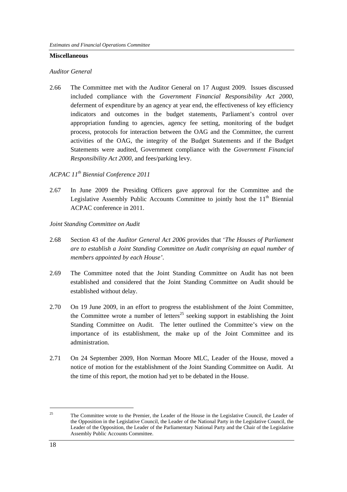#### **Miscellaneous**

#### *Auditor General*

2.66 The Committee met with the Auditor General on 17 August 2009. Issues discussed included compliance with the *Government Financial Responsibility Act 2000,*  deferment of expenditure by an agency at year end, the effectiveness of key efficiency indicators and outcomes in the budget statements, Parliament's control over appropriation funding to agencies, agency fee setting, monitoring of the budget process, protocols for interaction between the OAG and the Committee, the current activities of the OAG, the integrity of the Budget Statements and if the Budget Statements were audited, Government compliance with the *Government Financial Responsibility Act 2000,* and fees/parking levy.

# *ACPAC 11th Biennial Conference 2011*

- 2.67 In June 2009 the Presiding Officers gave approval for the Committee and the Legislative Assembly Public Accounts Committee to jointly host the  $11<sup>th</sup>$  Biennial ACPAC conference in 2011.
- *Joint Standing Committee on Audit*
- 2.68 Section 43 of the *Auditor General Act 2006* provides that '*The Houses of Parliament are to establish a Joint Standing Committee on Audit comprising an equal number of members appointed by each House'*.
- 2.69 The Committee noted that the Joint Standing Committee on Audit has not been established and considered that the Joint Standing Committee on Audit should be established without delay.
- 2.70 On 19 June 2009, in an effort to progress the establishment of the Joint Committee, the Committee wrote a number of letters<sup>25</sup> seeking support in establishing the Joint Standing Committee on Audit. The letter outlined the Committee's view on the importance of its establishment, the make up of the Joint Committee and its administration.
- 2.71 On 24 September 2009, Hon Norman Moore MLC, Leader of the House, moved a notice of motion for the establishment of the Joint Standing Committee on Audit. At the time of this report, the motion had yet to be debated in the House.

<sup>&</sup>lt;sup>25</sup> The Committee wrote to the Premier, the Leader of the House in the Legislative Council, the Leader of the Opposition in the Legislative Council, the Leader of the National Party in the Legislative Council, the Leader of the Opposition, the Leader of the Parliamentary National Party and the Chair of the Legislative Assembly Public Accounts Committee.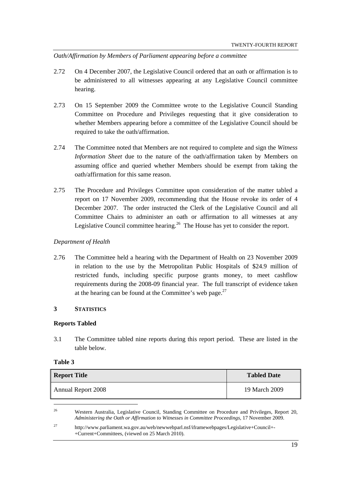*Oath/Affirmation by Members of Parliament appearing before a committee* 

- 2.72 On 4 December 2007, the Legislative Council ordered that an oath or affirmation is to be administered to all witnesses appearing at any Legislative Council committee hearing.
- 2.73 On 15 September 2009 the Committee wrote to the Legislative Council Standing Committee on Procedure and Privileges requesting that it give consideration to whether Members appearing before a committee of the Legislative Council should be required to take the oath/affirmation.
- 2.74 The Committee noted that Members are not required to complete and sign the *Witness Information Sheet* due to the nature of the oath/affirmation taken by Members on assuming office and queried whether Members should be exempt from taking the oath/affirmation for this same reason.
- 2.75 The Procedure and Privileges Committee upon consideration of the matter tabled a report on 17 November 2009, recommending that the House revoke its order of 4 December 2007. The order instructed the Clerk of the Legislative Council and all Committee Chairs to administer an oath or affirmation to all witnesses at any Legislative Council committee hearing.<sup>26</sup> The House has yet to consider the report.

## *Department of Health*

2.76 The Committee held a hearing with the Department of Health on 23 November 2009 in relation to the use by the Metropolitan Public Hospitals of \$24.9 million of restricted funds, including specific purpose grants money, to meet cashflow requirements during the 2008-09 financial year. The full transcript of evidence taken at the hearing can be found at the Committee's web page. $27$ 

## **3 STATISTICS**

## **Reports Tabled**

3.1 The Committee tabled nine reports during this report period. These are listed in the table below.

| m<br>ı<br>и |  |
|-------------|--|
|-------------|--|

| <b>Report Title</b> | <b>Tabled Date</b> |
|---------------------|--------------------|
| Annual Report 2008  | 19 March 2009      |

<sup>26</sup> Western Australia, Legislative Council, Standing Committee on Procedure and Privileges, Report 20, *Administering the Oath or Affirmation to Witnesses in Committee Proceedings,* 17 November 2009.

27 http://www.parliament.wa.gov.au/web/newwebparl.nsf/iframewebpages/Legislative+Council+- +Current+Committees, (viewed on 25 March 2010).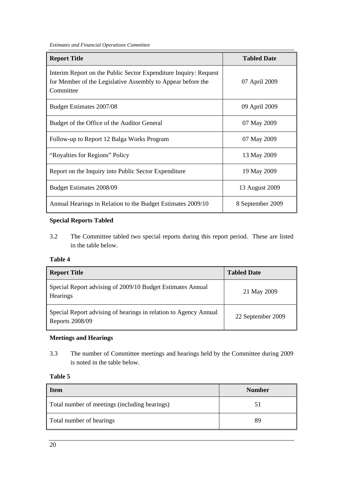*Estimates and Financial Operations Committee* 

| <b>Report Title</b>                                                                                                                          | <b>Tabled Date</b> |
|----------------------------------------------------------------------------------------------------------------------------------------------|--------------------|
| Interim Report on the Public Sector Expenditure Inquiry: Request<br>for Member of the Legislative Assembly to Appear before the<br>Committee | 07 April 2009      |
| Budget Estimates 2007/08                                                                                                                     | 09 April 2009      |
| Budget of the Office of the Auditor General                                                                                                  | 07 May 2009        |
| Follow-up to Report 12 Balga Works Program                                                                                                   | 07 May 2009        |
| "Royalties for Regions" Policy                                                                                                               | 13 May 2009        |
| Report on the Inquiry into Public Sector Expenditure                                                                                         | 19 May 2009        |
| Budget Estimates 2008/09                                                                                                                     | 13 August 2009     |
| Annual Hearings in Relation to the Budget Estimates 2009/10                                                                                  | 8 September 2009   |

## **Special Reports Tabled**

3.2 The Committee tabled two special reports during this report period. These are listed in the table below.

## **Table 4**

| <b>Report Title</b>                                                                 | <b>Tabled Date</b> |
|-------------------------------------------------------------------------------------|--------------------|
| Special Report advising of 2009/10 Budget Estimates Annual<br><b>Hearings</b>       | 21 May 2009        |
| Special Report advising of hearings in relation to Agency Annual<br>Reports 2008/09 | 22 September 2009  |

## **Meetings and Hearings**

3.3 The number of Committee meetings and hearings held by the Committee during 2009 is noted in the table below.

# **Table 5**

| <b>Item</b>                                   | <b>Number</b> |
|-----------------------------------------------|---------------|
| Total number of meetings (including hearings) |               |
| Total number of hearings                      | QС            |